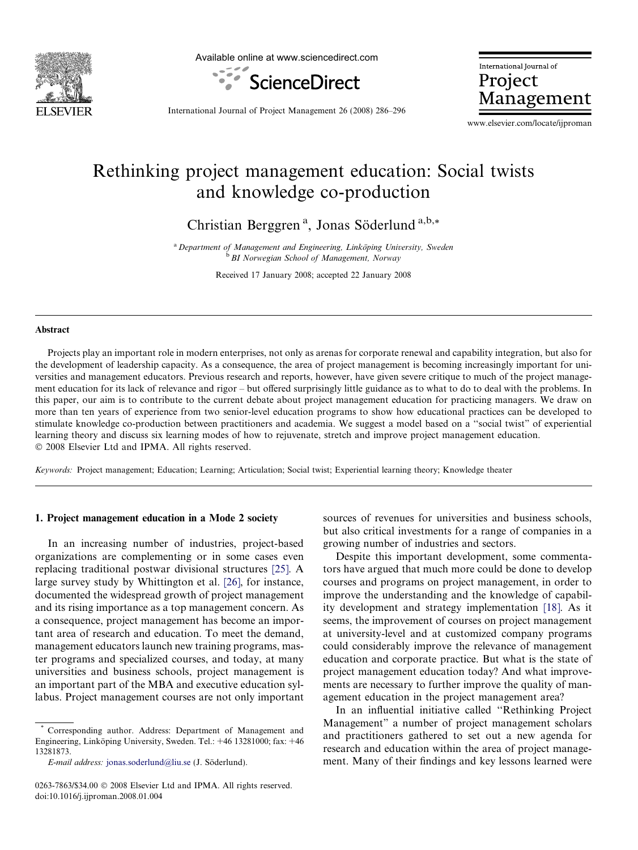

Available online at www.sciencedirect.com



International Journal of Project Management

International Journal of Project Management 26 (2008) 286–296

www.elsevier.com/locate/ijproman

# Rethinking project management education: Social twists and knowledge co-production

Christian Berggren<sup>a</sup>, Jonas Söderlund<sup>a,b,\*</sup>

a Department of Management and Engineering, Linköping University, Sweden<br>b BI Norwegian School of Management, Norway

Received 17 January 2008; accepted 22 January 2008

### Abstract

Projects play an important role in modern enterprises, not only as arenas for corporate renewal and capability integration, but also for the development of leadership capacity. As a consequence, the area of project management is becoming increasingly important for universities and management educators. Previous research and reports, however, have given severe critique to much of the project management education for its lack of relevance and rigor – but offered surprisingly little guidance as to what to do to deal with the problems. In this paper, our aim is to contribute to the current debate about project management education for practicing managers. We draw on more than ten years of experience from two senior-level education programs to show how educational practices can be developed to stimulate knowledge co-production between practitioners and academia. We suggest a model based on a ''social twist" of experiential learning theory and discuss six learning modes of how to rejuvenate, stretch and improve project management education. © 2008 Elsevier Ltd and IPMA. All rights reserved.

Keywords: Project management; Education; Learning; Articulation; Social twist; Experiential learning theory; Knowledge theater

#### 1. Project management education in a Mode 2 society

In an increasing number of industries, project-based organizations are complementing or in some cases even replacing traditional postwar divisional structures [\[25\]](#page--1-0). A large survey study by Whittington et al. [\[26\]](#page--1-0), for instance, documented the widespread growth of project management and its rising importance as a top management concern. As a consequence, project management has become an important area of research and education. To meet the demand, management educators launch new training programs, master programs and specialized courses, and today, at many universities and business schools, project management is an important part of the MBA and executive education syllabus. Project management courses are not only important sources of revenues for universities and business schools, but also critical investments for a range of companies in a growing number of industries and sectors.

Despite this important development, some commentators have argued that much more could be done to develop courses and programs on project management, in order to improve the understanding and the knowledge of capability development and strategy implementation [\[18\].](#page--1-0) As it seems, the improvement of courses on project management at university-level and at customized company programs could considerably improve the relevance of management education and corporate practice. But what is the state of project management education today? And what improvements are necessary to further improve the quality of management education in the project management area?

In an influential initiative called ''Rethinking Project Management" a number of project management scholars and practitioners gathered to set out a new agenda for research and education within the area of project management. Many of their findings and key lessons learned were

Corresponding author. Address: Department of Management and Engineering, Linköping University, Sweden. Tel.: +46 13281000; fax: +46 13281873.

E-mail address: [jonas.soderlund@liu.se](mailto:jonas.soderlund@liu.se) (J. Söderlund).

<sup>0263-7863/\$34.00 © 2008</sup> Elsevier Ltd and IPMA. All rights reserved. doi:10.1016/j.ijproman.2008.01.004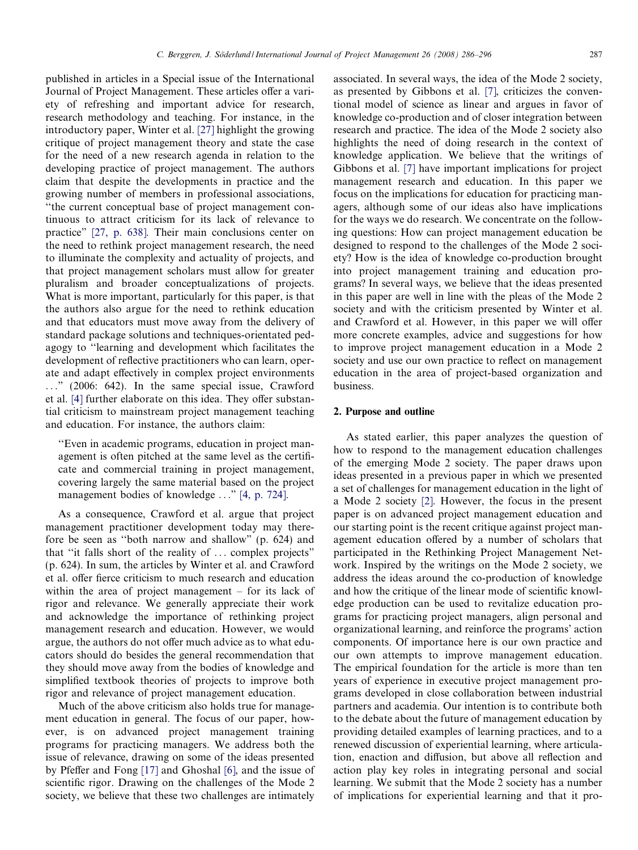published in articles in a Special issue of the International Journal of Project Management. These articles offer a variety of refreshing and important advice for research, research methodology and teaching. For instance, in the introductory paper, Winter et al. [\[27\]](#page--1-0) highlight the growing critique of project management theory and state the case for the need of a new research agenda in relation to the developing practice of project management. The authors claim that despite the developments in practice and the growing number of members in professional associations, ''the current conceptual base of project management continuous to attract criticism for its lack of relevance to practice" [\[27, p. 638\]](#page--1-0). Their main conclusions center on the need to rethink project management research, the need to illuminate the complexity and actuality of projects, and that project management scholars must allow for greater pluralism and broader conceptualizations of projects. What is more important, particularly for this paper, is that the authors also argue for the need to rethink education and that educators must move away from the delivery of standard package solutions and techniques-orientated pedagogy to ''learning and development which facilitates the development of reflective practitioners who can learn, operate and adapt effectively in complex project environments ..." (2006: 642). In the same special issue, Crawford et al. [\[4\]](#page--1-0) further elaborate on this idea. They offer substantial criticism to mainstream project management teaching and education. For instance, the authors claim:

''Even in academic programs, education in project management is often pitched at the same level as the certificate and commercial training in project management, covering largely the same material based on the project management bodies of knowledge ..." [\[4, p. 724\].](#page--1-0)

As a consequence, Crawford et al. argue that project management practitioner development today may therefore be seen as ''both narrow and shallow" (p. 624) and that ''it falls short of the reality of ... complex projects" (p. 624). In sum, the articles by Winter et al. and Crawford et al. offer fierce criticism to much research and education within the area of project management – for its lack of rigor and relevance. We generally appreciate their work and acknowledge the importance of rethinking project management research and education. However, we would argue, the authors do not offer much advice as to what educators should do besides the general recommendation that they should move away from the bodies of knowledge and simplified textbook theories of projects to improve both rigor and relevance of project management education.

Much of the above criticism also holds true for management education in general. The focus of our paper, however, is on advanced project management training programs for practicing managers. We address both the issue of relevance, drawing on some of the ideas presented by Pfeffer and Fong [\[17\]](#page--1-0) and Ghoshal [\[6\],](#page--1-0) and the issue of scientific rigor. Drawing on the challenges of the Mode 2 society, we believe that these two challenges are intimately associated. In several ways, the idea of the Mode 2 society, as presented by Gibbons et al. [\[7\]](#page--1-0), criticizes the conventional model of science as linear and argues in favor of knowledge co-production and of closer integration between research and practice. The idea of the Mode 2 society also highlights the need of doing research in the context of knowledge application. We believe that the writings of Gibbons et al. [\[7\]](#page--1-0) have important implications for project management research and education. In this paper we focus on the implications for education for practicing managers, although some of our ideas also have implications for the ways we do research. We concentrate on the following questions: How can project management education be designed to respond to the challenges of the Mode 2 society? How is the idea of knowledge co-production brought into project management training and education programs? In several ways, we believe that the ideas presented in this paper are well in line with the pleas of the Mode 2 society and with the criticism presented by Winter et al. and Crawford et al. However, in this paper we will offer more concrete examples, advice and suggestions for how to improve project management education in a Mode 2 society and use our own practice to reflect on management education in the area of project-based organization and business.

## 2. Purpose and outline

As stated earlier, this paper analyzes the question of how to respond to the management education challenges of the emerging Mode 2 society. The paper draws upon ideas presented in a previous paper in which we presented a set of challenges for management education in the light of a Mode 2 society [\[2\]](#page--1-0). However, the focus in the present paper is on advanced project management education and our starting point is the recent critique against project management education offered by a number of scholars that participated in the Rethinking Project Management Network. Inspired by the writings on the Mode 2 society, we address the ideas around the co-production of knowledge and how the critique of the linear mode of scientific knowledge production can be used to revitalize education programs for practicing project managers, align personal and organizational learning, and reinforce the programs' action components. Of importance here is our own practice and our own attempts to improve management education. The empirical foundation for the article is more than ten years of experience in executive project management programs developed in close collaboration between industrial partners and academia. Our intention is to contribute both to the debate about the future of management education by providing detailed examples of learning practices, and to a renewed discussion of experiential learning, where articulation, enaction and diffusion, but above all reflection and action play key roles in integrating personal and social learning. We submit that the Mode 2 society has a number of implications for experiential learning and that it pro-